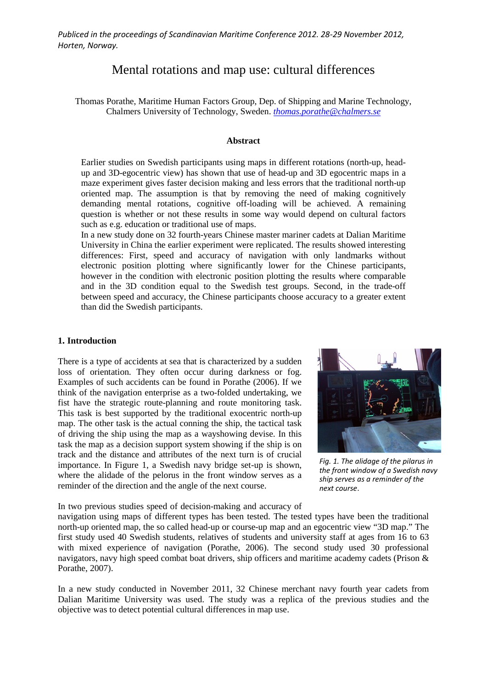# Mental rotations and map use: cultural differences

Thomas Porathe, Maritime Human Factors Group, Dep. of Shipping and Marine Technology, Chalmers University of Technology, Sweden. *[thomas.porathe@chalmers.se](mailto:thomas.porathe@chalmers.se)*

## **Abstract**

Earlier studies on Swedish participants using maps in different rotations (north-up, headup and 3D-egocentric view) has shown that use of head-up and 3D egocentric maps in a maze experiment gives faster decision making and less errors that the traditional north-up oriented map. The assumption is that by removing the need of making cognitively demanding mental rotations, cognitive off-loading will be achieved. A remaining question is whether or not these results in some way would depend on cultural factors such as e.g. education or traditional use of maps.

In a new study done on 32 fourth-years Chinese master mariner cadets at Dalian Maritime University in China the earlier experiment were replicated. The results showed interesting differences: First, speed and accuracy of navigation with only landmarks without electronic position plotting where significantly lower for the Chinese participants, however in the condition with electronic position plotting the results where comparable and in the 3D condition equal to the Swedish test groups. Second, in the trade-off between speed and accuracy, the Chinese participants choose accuracy to a greater extent than did the Swedish participants.

## **1. Introduction**

There is a type of accidents at sea that is characterized by a sudden loss of orientation. They often occur during darkness or fog. Examples of such accidents can be found in Porathe (2006). If we think of the navigation enterprise as a two-folded undertaking, we fist have the strategic route-planning and route monitoring task. This task is best supported by the traditional exocentric north-up map. The other task is the actual conning the ship, the tactical task of driving the ship using the map as a wayshowing devise. In this task the map as a decision support system showing if the ship is on track and the distance and attributes of the next turn is of crucial importance. In Figure 1, a Swedish navy bridge set-up is shown, where the alidade of the pelorus in the front window serves as a reminder of the direction and the angle of the next course.



*Fig. 1. The alidage of the pilarus in the front window of a Swedish navy ship serves as a reminder of the next course*.

In two previous studies speed of decision-making and accuracy of

navigation using maps of different types has been tested. The tested types have been the traditional north-up oriented map, the so called head-up or course-up map and an egocentric view "3D map." The first study used 40 Swedish students, relatives of students and university staff at ages from 16 to 63 with mixed experience of navigation (Porathe, 2006). The second study used 30 professional navigators, navy high speed combat boat drivers, ship officers and maritime academy cadets (Prison & Porathe, 2007).

In a new study conducted in November 2011, 32 Chinese merchant navy fourth year cadets from Dalian Maritime University was used. The study was a replica of the previous studies and the objective was to detect potential cultural differences in map use.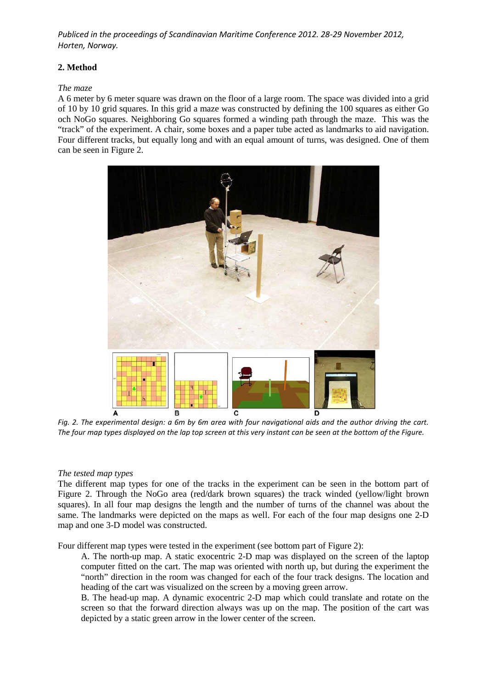## **2. Method**

## *The maze*

A 6 meter by 6 meter square was drawn on the floor of a large room. The space was divided into a grid of 10 by 10 grid squares. In this grid a maze was constructed by defining the 100 squares as either Go och NoGo squares. Neighboring Go squares formed a winding path through the maze. This was the "track" of the experiment. A chair, some boxes and a paper tube acted as landmarks to aid navigation. Four different tracks, but equally long and with an equal amount of turns, was designed. One of them can be seen in Figure 2.



*Fig. 2. The experimental design: a 6m by 6m area with four navigational aids and the author driving the cart. The four map types displayed on the lap top screen at this very instant can be seen at the bottom of the Figure.*

# *The tested map types*

The different map types for one of the tracks in the experiment can be seen in the bottom part of Figure 2. Through the NoGo area (red/dark brown squares) the track winded (yellow/light brown squares). In all four map designs the length and the number of turns of the channel was about the same. The landmarks were depicted on the maps as well. For each of the four map designs one 2-D map and one 3-D model was constructed.

Four different map types were tested in the experiment (see bottom part of Figure 2):

A. The north-up map. A static exocentric 2-D map was displayed on the screen of the laptop computer fitted on the cart. The map was oriented with north up, but during the experiment the "north" direction in the room was changed for each of the four track designs. The location and heading of the cart was visualized on the screen by a moving green arrow.

B. The head-up map. A dynamic exocentric 2-D map which could translate and rotate on the screen so that the forward direction always was up on the map. The position of the cart was depicted by a static green arrow in the lower center of the screen.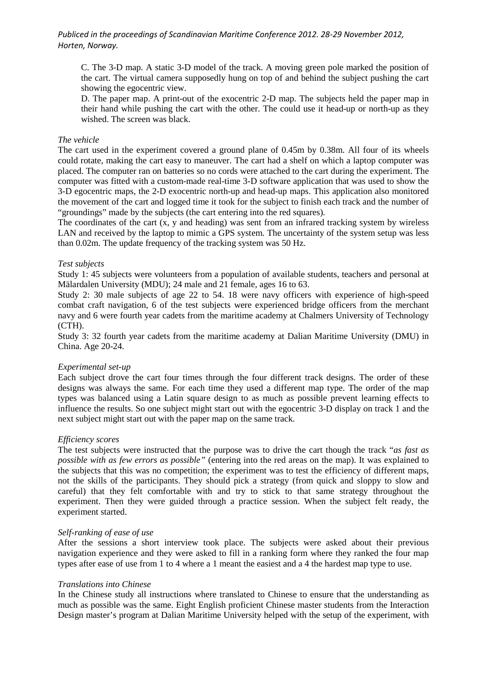C. The 3-D map. A static 3-D model of the track. A moving green pole marked the position of the cart. The virtual camera supposedly hung on top of and behind the subject pushing the cart showing the egocentric view.

D. The paper map. A print-out of the exocentric 2-D map. The subjects held the paper map in their hand while pushing the cart with the other. The could use it head-up or north-up as they wished. The screen was black.

#### *The vehicle*

The cart used in the experiment covered a ground plane of 0.45m by 0.38m. All four of its wheels could rotate, making the cart easy to maneuver. The cart had a shelf on which a laptop computer was placed. The computer ran on batteries so no cords were attached to the cart during the experiment. The computer was fitted with a custom-made real-time 3-D software application that was used to show the 3-D egocentric maps, the 2-D exocentric north-up and head-up maps. This application also monitored the movement of the cart and logged time it took for the subject to finish each track and the number of "groundings" made by the subjects (the cart entering into the red squares).

The coordinates of the cart (x, y and heading) was sent from an infrared tracking system by wireless LAN and received by the laptop to mimic a GPS system. The uncertainty of the system setup was less than 0.02m. The update frequency of the tracking system was 50 Hz.

#### *Test subjects*

Study 1: 45 subjects were volunteers from a population of available students, teachers and personal at Mälardalen University (MDU); 24 male and 21 female, ages 16 to 63.

Study 2: 30 male subjects of age 22 to 54. 18 were navy officers with experience of high-speed combat craft navigation, 6 of the test subjects were experienced bridge officers from the merchant navy and 6 were fourth year cadets from the maritime academy at Chalmers University of Technology (CTH).

Study 3: 32 fourth year cadets from the maritime academy at Dalian Maritime University (DMU) in China. Age 20-24.

#### *Experimental set-up*

Each subject drove the cart four times through the four different track designs. The order of these designs was always the same. For each time they used a different map type. The order of the map types was balanced using a Latin square design to as much as possible prevent learning effects to influence the results. So one subject might start out with the egocentric 3-D display on track 1 and the next subject might start out with the paper map on the same track.

#### *Efficiency scores*

The test subjects were instructed that the purpose was to drive the cart though the track "*as fast as possible with as few errors as possible"* (entering into the red areas on the map). It was explained to the subjects that this was no competition; the experiment was to test the efficiency of different maps, not the skills of the participants. They should pick a strategy (from quick and sloppy to slow and careful) that they felt comfortable with and try to stick to that same strategy throughout the experiment. Then they were guided through a practice session. When the subject felt ready, the experiment started.

## *Self-ranking of ease of use*

After the sessions a short interview took place. The subjects were asked about their previous navigation experience and they were asked to fill in a ranking form where they ranked the four map types after ease of use from 1 to 4 where a 1 meant the easiest and a 4 the hardest map type to use.

#### *Translations into Chinese*

In the Chinese study all instructions where translated to Chinese to ensure that the understanding as much as possible was the same. Eight English proficient Chinese master students from the Interaction Design master's program at Dalian Maritime University helped with the setup of the experiment, with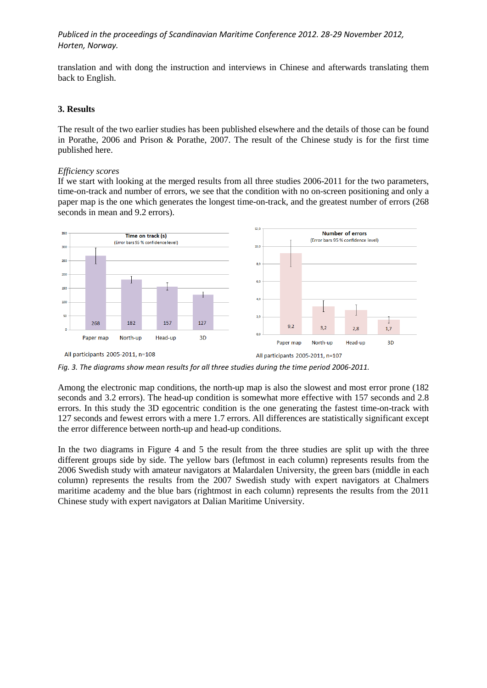translation and with dong the instruction and interviews in Chinese and afterwards translating them back to English.

## **3. Results**

The result of the two earlier studies has been published elsewhere and the details of those can be found in Porathe, 2006 and Prison & Porathe, 2007. The result of the Chinese study is for the first time published here.

#### *Efficiency scores*

If we start with looking at the merged results from all three studies 2006-2011 for the two parameters, time-on-track and number of errors, we see that the condition with no on-screen positioning and only a paper map is the one which generates the longest time-on-track, and the greatest number of errors (268 seconds in mean and 9.2 errors).



Among the electronic map conditions, the north-up map is also the slowest and most error prone (182 seconds and 3.2 errors). The head-up condition is somewhat more effective with 157 seconds and 2.8 errors. In this study the 3D egocentric condition is the one generating the fastest time-on-track with 127 seconds and fewest errors with a mere 1.7 errors. All differences are statistically significant except the error difference between north-up and head-up conditions.

In the two diagrams in Figure 4 and 5 the result from the three studies are split up with the three different groups side by side. The yellow bars (leftmost in each column) represents results from the 2006 Swedish study with amateur navigators at Malardalen University, the green bars (middle in each column) represents the results from the 2007 Swedish study with expert navigators at Chalmers maritime academy and the blue bars (rightmost in each column) represents the results from the 2011 Chinese study with expert navigators at Dalian Maritime University.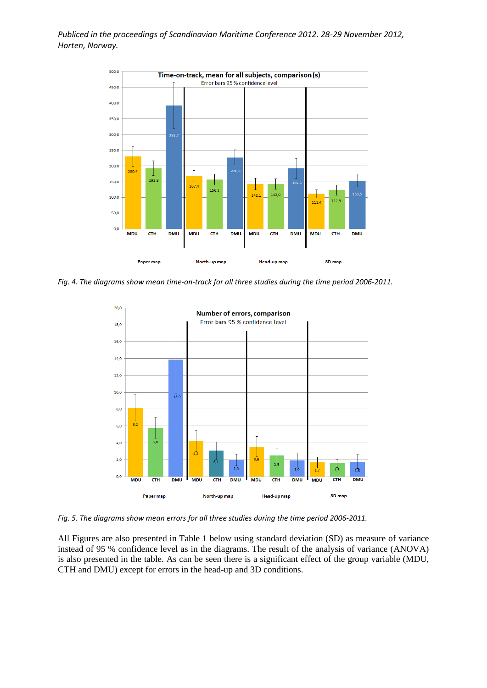

*Fig. 4. The diagrams show mean time-on-track for all three studies during the time period 2006-2011.*



*Fig. 5. The diagrams show mean errors for all three studies during the time period 2006-2011.*

All Figures are also presented in Table 1 below using standard deviation (SD) as measure of variance instead of 95 % confidence level as in the diagrams. The result of the analysis of variance (ANOVA) is also presented in the table. As can be seen there is a significant effect of the group variable (MDU, CTH and DMU) except for errors in the head-up and 3D conditions.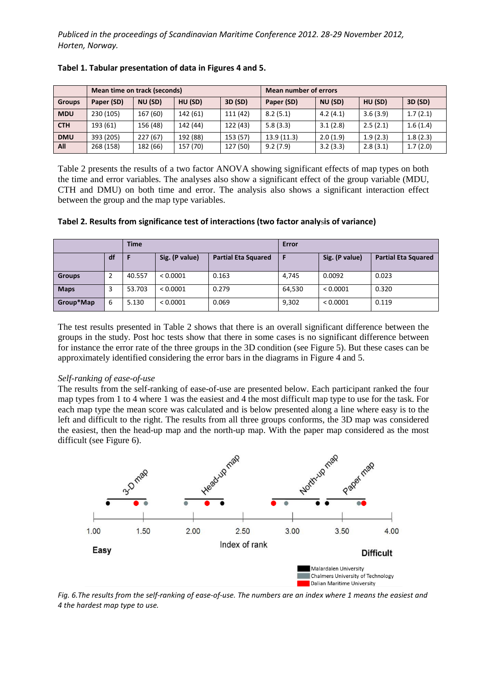|               | Mean time on track (seconds) |          |          |          | Mean number of errors |          |          |          |
|---------------|------------------------------|----------|----------|----------|-----------------------|----------|----------|----------|
| <b>Groups</b> | Paper (SD)                   | NU (SD)  | HU (SD)  | 3D (SD)  | Paper (SD)            | NU (SD)  | HU (SD)  | 3D (SD)  |
| <b>MDU</b>    | 230 (105)                    | 167 (60) | 142 (61) | 111 (42) | 8.2(5.1)              | 4.2(4.1) | 3.6(3.9) | 1.7(2.1) |
| <b>CTH</b>    | 193 (61)                     | 156 (48) | 142 (44) | 122 (43) | 5.8(3.3)              | 3.1(2.8) | 2.5(2.1) | 1.6(1.4) |
| <b>DMU</b>    | 393 (205)                    | 227(67)  | 192 (88) | 153 (57) | 13.9(11.3)            | 2.0(1.9) | 1.9(2.3) | 1.8(2.3) |
| <b>All</b>    | 268 (158)                    | 182 (66) | 157 (70) | 127 (50) | 9.2(7.9)              | 3.2(3.3) | 2.8(3.1) | 1.7(2.0) |

## **Tabel 1. Tabular presentation of data in Figures 4 and 5.**

Table 2 presents the results of a two factor ANOVA showing significant effects of map types on both the time and error variables. The analyses also show a significant effect of the group variable (MDU, CTH and DMU) on both time and error. The analysis also shows a significant interaction effect between the group and the map type variables.

| Tabel 2. Results from significance test of interactions (two factor analysis of variance) |  |  |  |  |
|-------------------------------------------------------------------------------------------|--|--|--|--|
|-------------------------------------------------------------------------------------------|--|--|--|--|

|               |    | <b>Time</b> |                |                            | Error  |                |                            |  |
|---------------|----|-------------|----------------|----------------------------|--------|----------------|----------------------------|--|
|               | df |             | Sig. (P value) | <b>Partial Eta Squared</b> | F      | Sig. (P value) | <b>Partial Eta Squared</b> |  |
| <b>Groups</b> |    | 40.557      | < 0.0001       | 0.163                      | 4,745  | 0.0092         | 0.023                      |  |
| <b>Maps</b>   |    | 53.703      | < 0.0001       | 0.279                      | 64,530 | < 0.0001       | 0.320                      |  |
| Group*Map     | 6  | 5.130       | < 0.0001       | 0.069                      | 9,302  | < 0.0001       | 0.119                      |  |

The test results presented in Table 2 shows that there is an overall significant difference between the groups in the study. Post hoc tests show that there in some cases is no significant difference between for instance the error rate of the three groups in the 3D condition (see Figure 5). But these cases can be approximately identified considering the error bars in the diagrams in Figure 4 and 5.

## *Self-ranking of ease-of-use*

The results from the self-ranking of ease-of-use are presented below. Each participant ranked the four map types from 1 to 4 where 1 was the easiest and 4 the most difficult map type to use for the task. For each map type the mean score was calculated and is below presented along a line where easy is to the left and difficult to the right. The results from all three groups conforms, the 3D map was considered the easiest, then the head-up map and the north-up map. With the paper map considered as the most difficult (see Figure 6).



*Fig. 6.The results from the self-ranking of ease-of-use. The numbers are an index where 1 means the easiest and 4 the hardest map type to use.*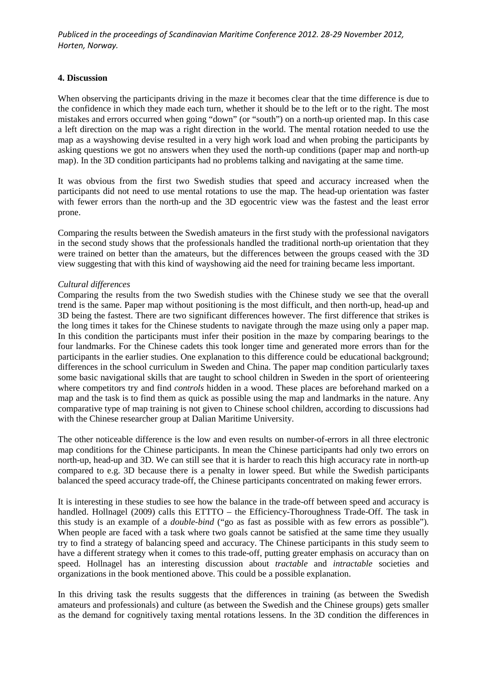#### **4. Discussion**

When observing the participants driving in the maze it becomes clear that the time difference is due to the confidence in which they made each turn, whether it should be to the left or to the right. The most mistakes and errors occurred when going "down" (or "south") on a north-up oriented map. In this case a left direction on the map was a right direction in the world. The mental rotation needed to use the map as a wayshowing devise resulted in a very high work load and when probing the participants by asking questions we got no answers when they used the north-up conditions (paper map and north-up map). In the 3D condition participants had no problems talking and navigating at the same time.

It was obvious from the first two Swedish studies that speed and accuracy increased when the participants did not need to use mental rotations to use the map. The head-up orientation was faster with fewer errors than the north-up and the 3D egocentric view was the fastest and the least error prone.

Comparing the results between the Swedish amateurs in the first study with the professional navigators in the second study shows that the professionals handled the traditional north-up orientation that they were trained on better than the amateurs, but the differences between the groups ceased with the 3D view suggesting that with this kind of wayshowing aid the need for training became less important.

#### *Cultural differences*

Comparing the results from the two Swedish studies with the Chinese study we see that the overall trend is the same. Paper map without positioning is the most difficult, and then north-up, head-up and 3D being the fastest. There are two significant differences however. The first difference that strikes is the long times it takes for the Chinese students to navigate through the maze using only a paper map. In this condition the participants must infer their position in the maze by comparing bearings to the four landmarks. For the Chinese cadets this took longer time and generated more errors than for the participants in the earlier studies. One explanation to this difference could be educational background; differences in the school curriculum in Sweden and China. The paper map condition particularly taxes some basic navigational skills that are taught to school children in Sweden in the sport of orienteering where competitors try and find *controls* hidden in a wood. These places are beforehand marked on a map and the task is to find them as quick as possible using the map and landmarks in the nature. Any comparative type of map training is not given to Chinese school children, according to discussions had with the Chinese researcher group at Dalian Maritime University.

The other noticeable difference is the low and even results on number-of-errors in all three electronic map conditions for the Chinese participants. In mean the Chinese participants had only two errors on north-up, head-up and 3D. We can still see that it is harder to reach this high accuracy rate in north-up compared to e.g. 3D because there is a penalty in lower speed. But while the Swedish participants balanced the speed accuracy trade-off, the Chinese participants concentrated on making fewer errors.

It is interesting in these studies to see how the balance in the trade-off between speed and accuracy is handled. Hollnagel (2009) calls this ETTTO – the Efficiency-Thoroughness Trade-Off. The task in this study is an example of a *double-bind* ("go as fast as possible with as few errors as possible"). When people are faced with a task where two goals cannot be satisfied at the same time they usually try to find a strategy of balancing speed and accuracy. The Chinese participants in this study seem to have a different strategy when it comes to this trade-off, putting greater emphasis on accuracy than on speed. Hollnagel has an interesting discussion about *tractable* and *intractable* societies and organizations in the book mentioned above. This could be a possible explanation.

In this driving task the results suggests that the differences in training (as between the Swedish amateurs and professionals) and culture (as between the Swedish and the Chinese groups) gets smaller as the demand for cognitively taxing mental rotations lessens. In the 3D condition the differences in